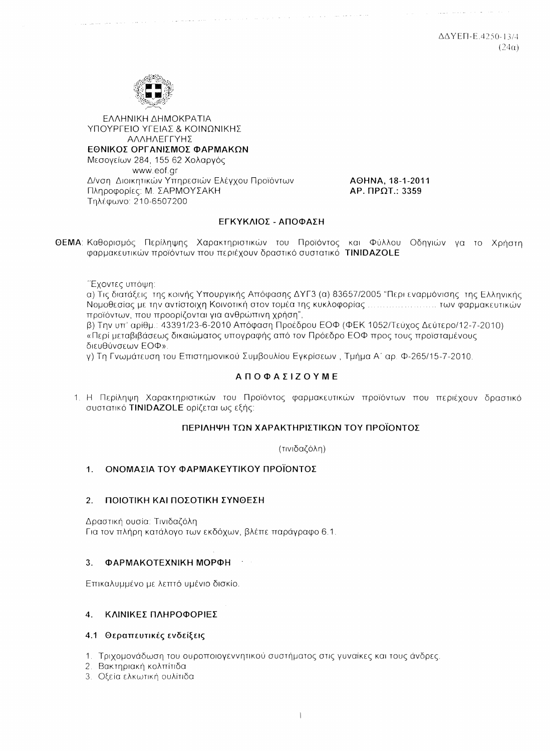ΛΔΥΕΠ-Ε.4250-13/4  $(24\alpha)$ 



**FAAHNIKH AHMOKPATIA** ΥΠΟΥΡΓΕΙΟ ΥΓΕΙΑΣ & ΚΟΙΝΟΝΙΚΗΣ ΑΛΛΗΛΕΓΓΥΗΣ ΕΘΝΙΚΟΣ ΟΡΓΑΝΙΣΜΟΣ ΦΑΡΜΑΚΩΝ Μεσογείων 284, 155 62 Χολαργός www.eof.gr Δ/νση Διοικητικών Υπηρεσιών Ελέγχου Προϊόντων Πληροφορίες: Μ. ΣΑΡΜΟΥΣΑΚΗ Τηλέφωνο: 210-6507200

AOHNA, 18-1-2011 AP. ΠΡΩΤ.: 3359

 $\mathcal{L}_{\text{max}}$  , and the second contract of  $\mathcal{L}_{\text{max}}$ 

### ΕΓΚΥΚΛΙΟΣ - ΑΠΟΦΑΣΗ

ΘΕΜΑ: Καθορισμός Περίληψης Χαρακτηριστικών του Προϊόντος και Φύλλου Οδηγιών να το Χρήστη φαρμακευτικών προϊόντων που περιέχουν δραστικό συστατικό **TINIDAZOLE** 

Έχοντες υπόψη:

α) Τις διατάξεις της κοινής Υπουργικής Απόφασης ΔΥΓ3 (α) 83657/2005 "Περι εναρμόνισης της Ελληνικής προϊόντων, που προορίζονται για ανθρώπινη χρήση",

β) Την υπ' αρίθμ.: 43391/23-6-2010 Απόφαση Προέδρου ΕΟΦ (ΦΕΚ 1052/Τεύχος Δεύτερο/12-7-2010) «Περί μεταβιβάσεως δικαιώματος υπογραφής από τον Πρόεδρο ΕΟΦ προς τους προϊσταμένους διευθύνσεων ΕΟΦ».

γ) Τη Γνωμάτευση του Επιστημονικού Συμβουλίου Εγκρίσεων , Τμήμα Α΄ αρ. Φ-265/15-7-2010,

### **ΑΠΟΦΑΣΙΖΟΥΜΕ**

1. Η Περίληψη Χαρακτηριστικών του Προϊόντος φαρμακευτικών προϊόντων που περιέχουν δραστικό συστατικό **TINIDAZOLE** ορίζεται ως εξής:

#### ΠΕΡΙΛΗΨΗ ΤΩΝ ΧΑΡΑΚΤΗΡΙΣΤΙΚΩΝ ΤΟΥ ΠΡΟΪΟΝΤΟΣ

(τινιδαζόλη)

#### $1<sup>1</sup>$ ΟΝΟΜΑΣΙΑ ΤΟΥ ΦΑΡΜΑΚΕΥΤΙΚΟΥ ΠΡΟΪΟΝΤΟΣ

#### ΠΟΙΟΤΙΚΗ ΚΑΙ ΠΟΣΟΤΙΚΗ ΣΥΝΘΕΣΗ  $2.$

Δραστική ουσία: Τινιδαζόλη Για τον πλήρη κατάλογο των εκδόχων, βλέπε παράγραφο 6.1.

#### ΦΑΡΜΑΚΟΤΕΧΝΙΚΗ ΜΟΡΦΗ  $\mathcal{R}$

Επικαλυμμένο με λεπτό υμένιο δισκίο.

#### 4. ΚΛΙΝΙΚΕΣ ΠΛΗΡΟΦΟΡΙΕΣ

#### 4.1 Θεραπευτικές ενδείξεις

- 1. Τριχομονάδωση του ουροποιογεννητικού συστήματος στις γυναίκες και τους άνδρες.
- 2. Βακτηριακή κολπίτιδα
- 3. Οξεία ελκωτική ουλίτιδα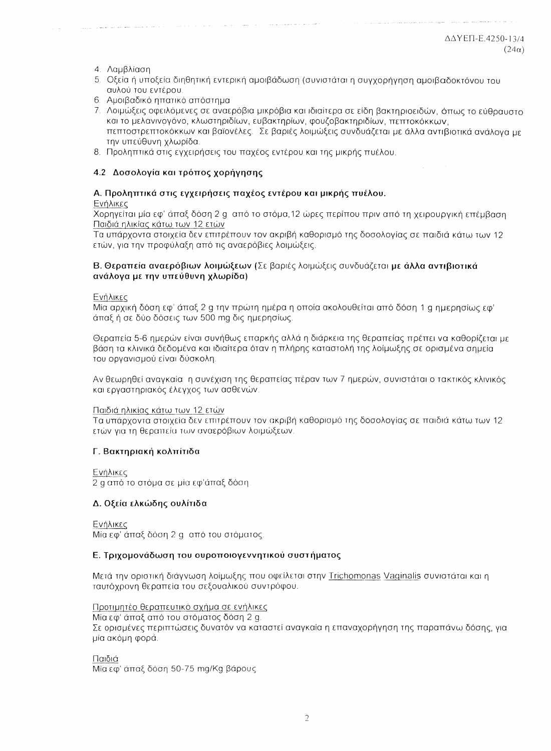#### 4. Λαμβλίαση

- 5. Οξεία ή υποξεία διηθητική εντερική αμοιβάδωση (συνιστάται η συγχορήγηση αμοιβαδοκτόνου του αυλού του εντέρου.
- 6. Αμοιβαδικό ηπατικό απόστημα
- 7. Λοιμώξεις οφειλόμενες σε αναερόβια μικρόβια και ιδιαίτερα σε είδη βακτηριοειδών, όπως το εύθοσματο και το μελανινογόνο, κλωστηριδίων, ευβακτηρίων, φουζοβακτηριδίων, πεπτοκόκκων, πεπτοστρεπτοκόκκων και βαϊονέλες. Σε βαριές λοιμώξεις συνδυάζεται με άλλα αντιβιοτικά ανάλονα με την υπεύθυνη χλωρίδα.
- 8. Προληπτικά στις εγχειρήσεις του παχέος εντέρου και της μικρής πυέλου.

#### 4.2 Δοσολογία και τρόπος χορήγησης

# Α. Προληπτικά στις εγχειρήσεις παχέος εντέρου και μικρής πυέλου.

### Ενήλικες

Χορηγείται μία εφ' άπαξ δόση 2 g από το στόμα.12 ώρες περίπου πριν από τη χειρουργική επέμβαση Παιδιά ηλικίας κάτω των 12 ετών

Τα υπάρχοντα στοιχεία δεν επιτρέπουν τον ακριβή καθορισμό της δοσολογίας σε παιδιά κάτω των 12 ετών, για την προφύλαξη από τις αναερόβιες λοιμώξεις.

#### Β. Θεραπεία αναερόβιων λοιμώξεων (Σε βαριές λοιμώξεις συνδυάζεται με άλλα αντιβιοτικά ανάλογα με την υπεύθυνη χλωρίδα)

#### Ενήλικες

Μία αρχική δόση εφ' άπαξ 2 α την πρώτη ημέρα η οποία ακολουθείται από δόση 1 α ημερησίως εφ' άπαξ ή σε δύο δόσεις των 500 mg δις ημερησίως.

Θεραπεία 5-6 ημερών είναι συνήθως επαρκής αλλά η διάρκεια της θεραπείας πρέπει να καθορίζεται με βάση τα κλινικά δεδομένα και ιδιαίτερα όταν η πλήρης καταστολή της λοίμωξης σε ορισμένα σημεία του οργανισμού είναι δύσκολη.

Αν θεωρηθεί αναγκαία η συνέχιση της θεραπείας πέραν των 7 ημερών, συνιστάται ο τακτικός κλινικός και εργαστηριακός έλεγχος των ασθενών.

#### Παιδιά ηλικίας κάτω των 12 ετών

Τα υπάρχοντα στοιχεία δεν επιτρέπουν τον ακριβή καθορισμό της δοσολογίας σε παιδιά κάτω των 12 ετών για τη θεραπεία των αναερόβιων λοιμώξεων.

### Γ. Βακτηριακή κολπίτιδα

Ενήλικες

2 α από το στόμα σε μία εφ'άπαξ δόση

#### Δ. Οξεία ελκώδης ουλίτιδα

Ενήλικες

Μία εφ' άπαξ δόση 2 g από του στόματος.

#### Ε. Τριχομονάδωση του ουροποιογεννητικού συστήματος

Μετά την οριστική διάγνωση λοίμωξης που οφείλεται στην Trichomonas Vaginalis συνιστάται και η ταυτόχρονη θεραπεία του σεξουαλικού συντρόφου.

#### Προτιμητέο θεραπευτικό σχήμα σε ενήλικες

Μία εφ' άπαξ από του στόματος δόση 2 g. Σε ορισμένες περιπτώσεις δυνατόν να καταστεί αναγκαία η επαναχορήγηση της παραπάνω δόσης, για μία ακόμη φορά.

Παιδιά

Μία εφ' άπαξ δόση 50-75 mg/Kg βάρους.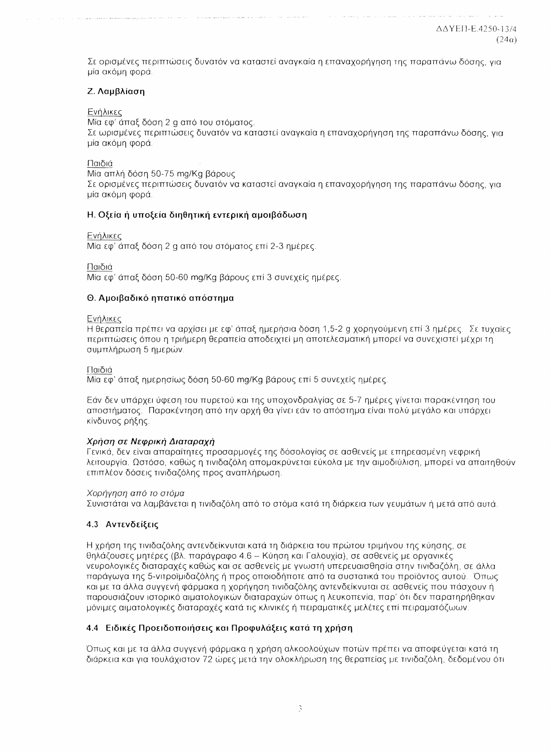Σε ορισμένες περιπτώσεις δυνατόν να καταστεί αναγκαία η επαναχορήγηση της παραπάνω δόσης, για μία ακόμη φορά.

### Ζ. Λαμβλίαση

Ενήλικες

Μία εφ' άπαξ δόση 2 g από του στόματος. Σε ωρισμένες περιπτώσεις δυνατόν να καταστεί αναγκαία η επαναχορήγηση της παραπάνω δόσης, για μία ακόμη φορά.

Παιδιά

Μία απλή δόση 50-75 mg/Kg βάρους

Σε ορισμένες περιπτώσεις δυνατόν να καταστεί αναγκαία η επαναχορήγηση της παραπάνω δόσης, για μία ακόμη φορά.

#### Η. Οξεία ή υποξεία διηθητική εντερική αμοιβάδωση

#### Ενήλικες

Μία εφ' άπαξ δόση 2 g από του στόματος επί 2-3 ημέρες.

Παιδιά

Μία εφ' άπαξ δόση 50-60 mg/Kg βάρους επί 3 συνεχείς ημέρες.

#### Θ. Αμοιβαδικό ηπατικό απόστημα

#### Ενήλικες

Η θεραπεία πρέπει να αρχίσει με εφ' άπαξ ημερήσια δόση 1,5-2 g χορηγούμενη επί 3 ημέρες. Σε τυχαίες περιπτώσεις όπου η τριήμερη θεραπεία αποδειχτεί μη αποτελεσματική μπορεί να συνεχιστεί μέχρι τη συμπλήρωση 5 ημερών.

#### Παιδιά

Μία εφ' άπαξ ημερησίως δόση 50-60 mg/Kg βάρους επί 5 συνεχείς ημέρες.

Εάν δεν υπάρχει ύφεση του πυρετού και της υποχονδραλγίας σε 5-7 ημέρες γίνεται παρακέντηση του αποστήματος. Παρακέντηση από την αρχή θα γίνει εάν το απόστημα είναι πολύ μεγάλο και υπάρχει κίνδυνος ρήξης.

### Χρήση σε Νεφρική Διαταραχή

Γενικά, δεν είναι απαραίτητες προσαρμογές της δόσολογίας σε ασθενείς με επηρεασμένη νεφρική λειτουργία. Ωστόσο, καθώς η τινιδαζόλη απομακρύνεται εύκολα με την αιμοδιύλιση, μπορεί να απαιτηθούν επιπλέον δόσεις τινιδαζόλης προς αναπλήρωση.

#### Χορήνηση από το στόμα

Συνιστάται να λαμβάνεται η τινιδαζόλη από το στόμα κατά τη διάρκεια των γευμάτων ή μετά από αυτά.

### 4.3 Αντενδείξεις

Η χρήση της τινιδαζόλης αντενδείκνυται κατά τη διάρκεια του πρώτου τριμήνου της κύησης, σε θηλάζουσες μητέρες (βλ. παράγραφο 4.6 – Κύηση και Γαλουχία), σε ασθενείς με οργανικές νευρολογικές διαταραχές καθώς και σε ασθενείς με γνωστή υπερευαισθησία στην τινιδαζόλη, σε άλλα παράγωγα της 5-νιτροϊμιδαζόλης ή προς οποιοδήποτε από τα συστατικά του προϊόντος αυτού. Όπως και με τα άλλα συγγενή φάρμακα η χορήγηση τινιδαζόλης αντενδείκνυται σε ασθενείς που πάσχουν ή παρουσιάζουν ιστορικό αιματολογικών διαταραχών όπως η λευκοπενία, παρ' ότι δεν παρατηρήθηκαν μόνιμες αιματολογικές διαταραχές κατά τις κλινικές ή πειραματικές μελέτες επί πειραματόζωων.

### 4.4 Ειδικές Προειδοποιήσεις και Προφυλάξεις κατά τη χρήση

Όπως και με τα άλλα συγγενή φάρμακα η χρήση αλκοολούχων ποτών πρέπει να αποφεύγεται κατά τη διάρκεια και για τουλάχιστον 72 ώρες μετά την ολοκλήρωση της θεραπείας με τινιδαζόλη, δεδομένου ότι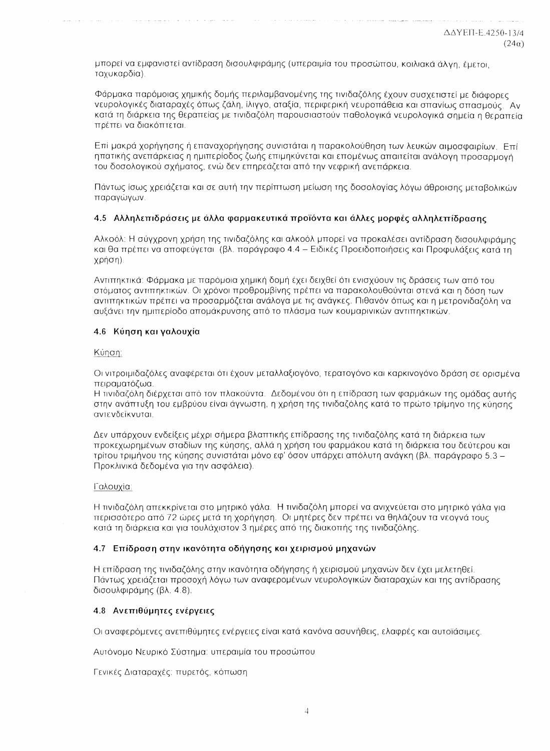μπορεί να εμφανιστεί αντίδραση δισουλφιράμης (υπεραιμία του προσώπου, κοιλιακά άλγη, έμετοι, ταχυκαρδία).

Φάρμακα παρόμοιας χημικής δομής περιλαμβανομένης της τινιδαζόλης έχουν συσχετιστεί με διάφορες νευρολογικές διαταραχές όπως ζάλη, ίλιγγο, αταξία, περιφερική νευροπάθεια και σπανίως σπασμούς. Αν κατά τη διάρκεια της θεραπείας με τινιδαζόλη παρουσιαστούν παθολογικά νευρολογικά σημεία η θεραπεία πρέπει να διακόπτεται.

Επί μακρά χορήγησης ή επαναχορήγησης συνιστάται η παρακολούθηση των λευκών αιμοσφαιρίων. Επί ηπατικής ανεπάρκειας η ημιπερίοδος ζωής επιμηκύνεται και επομένως απαιτείται ανάλογη προσαρμογή του δοσολογικού σχήματος, ενώ δεν επηρεάζεται από την νεφρική ανεπάρκεια.

Πάντως ίσως χρειάζεται και σε αυτή την περίπτωση μείωση της δοσολογίας λόγω άθροισης μεταβολικών παραγώγων.

#### 4.5 Αλληλεπιδράσεις με άλλα φαρμακευτικά προϊόντα και άλλες μορφές αλληλεπίδρασης

Αλκοόλ: Η σύγχρονη χρήση της τινιδαζόλης και αλκοόλ μπορεί να προκαλέσει αντίδραση δισουλφιράμης και θα πρέπει να αποφεύγεται (βλ. παράγραφο 4.4 - Ειδικές Προειδοποιήσεις και Προφυλάξεις κατά τη χρήση).

Αντιπηκτικά: Φάρμακα με παρόμοια χημική δομή έχει δειχθεί ότι ενισχύουν τις δράσεις των από του στόματος αντιπηκτικών. Οι χρόνοι προθρομβίνης πρέπει να παρακολουθούνται στενά και η δόση των αντιπηκτικών πρέπει να προσαρμόζεται ανάλογα με τις ανάγκες. Πιθανόν όπως και η μετρονιδαζόλη να αυξάνει την ημιπερίοδο απομάκρυνσης από το πλάσμα των κουμαρινικών αντιπηκτικών.

#### 4.6 Κύηση και γαλουχία

#### Κύηση:

Οι νιτροιμιδαζόλες αναφέρεται ότι έχουν μεταλλαξιογόνο, τερατογόνο και καρκινογόνο δράση σε ορισμένα πειραματόζωα.

Η τινιδαζόλη διέρχεται από τον πλακούντα. Δεδομένου ότι η επίδραση των φαρμάκων της ομάδας αυτής στην ανάπτυξη του εμβρύου είναι άγνωστη, η χρήση της τινιδαζόλης κατά το πρώτο τρίμηνο της κύησης. αντενδείκνυται.

Δεν υπάρχουν ενδείξεις μέχρι σήμερα βλαπτικής επίδρασης της τινιδαζόλης κατά τη διάρκεια των προκεχωρημένων σταδίων της κύησης, αλλά η χρήση του φαρμάκου κατά τη διάρκεια του δεύτερου και τρίτου τριμήνου της κύησης συνιστάται μόνο εφ' όσον υπάρχει απόλυτη ανάγκη (βλ. παράγραφο 5.3 -Προκλινικά δεδομένα για την ασφάλεια).

#### Γαλουχία:

Η τινιδαζόλη απεκκρίνεται στο μητρικό γάλα. Η τινιδαζόλη μπορεί να ανιχνεύεται στο μητρικό γάλα για περισσότερο από 72 ώρες μετά τη χορήγηση. Οι μητέρες δεν πρέπει να θηλάζουν τα νεογνά τους κατά τη διάρκεια και για τουλάχιστον 3 ημέρες από της διακοπής της τινιδαζόλης.

#### 4.7 Επίδραση στην ικανότητα οδήγησης και χειρισμού μηχανών

Η επίδραση της τινιδαζόλης στην ικανότητα οδήγησης ή χειρισμού μηχανών δεν έχει μελετηθεί. Πάντως χρειάζεται προσοχή λόγω των αναφερομένων νευρολογικών διαταραχών και της αντίδρασης δισουλφιράμης (βλ. 4.8).

#### 4.8 Ανεπιθύμητες ενέργειες

Οι αναφερόμενες ανεπιθύμητες ενέργειες είναι κατά κανόνα ασυνήθεις, ελαφρές και αυτοϊάσιμες,

Αυτόνομο Νευρικό Σύστημα: υπεραιμία του προσώπου

Γενικές Διαταραχές: πυρετός, κόπωση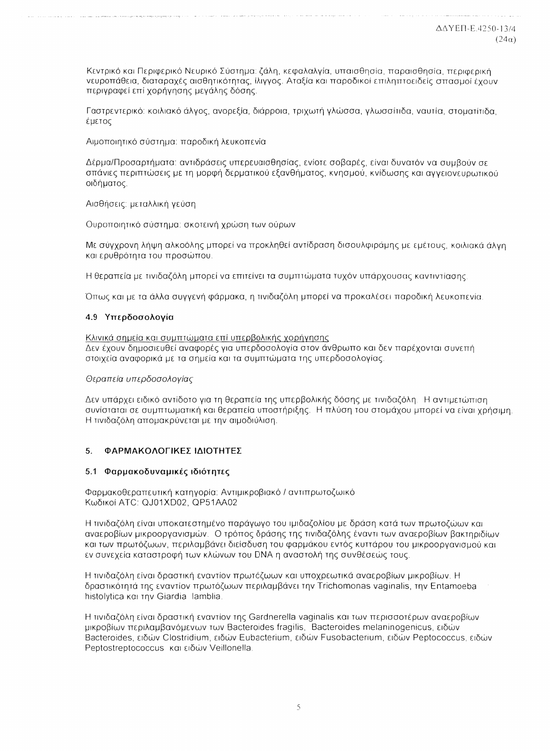Κεντρικό και Περιφερικό Νευρικό Σύστημα: ζάλη, κεφαλαλγία, υπαισθησία, παραισθησία, περιφερική νευροπάθεια, διαταραχές αισθητικότητας, ίλιγγος. Αταξία και παροδικοί επιληπτοειδείς σπασμοί έχουν περιγραφεί επί χορήγησης μεγάλης δόσης.

Γαστρεντερικό: κοιλιακό άλνος, ανορεξία, διάρροια, τριχωτή γλώσσα, νλωσσίτιδα, ναυτία, στουατίτιδα έμετος

Αιμοποιητικό σύστημα: παροδική λευκοπενία

Δέρμα/Προσαρτήματα: αντιδράσεις υπερευαισθησίας, ενίοτε σοβαρές, είναι δυνατόν να συμβούν σε σπάνιες περιπτώσεις με τη μορφή δερματικού εξανθήματος, κνησμού, κνίδωσης και αννειονευρωτικού οιδήματος.

Αισθήσεις: μεταλλική γεύση

Ουροποιητικό σύστημα: σκοτεινή χρώση των ούρων

Με σύγχρονη λήψη αλκοόλης μπορεί να προκληθεί αντίδραση δισουλφιράμης με εμέτους, κοιλιακά άλνη και ερυθρότητα του προσώπου.

Η θεραπεία με τινιδαζόλη μπορεί να επιτείνει τα συμπτώματα τυχόν υπάρχουσας καντιντίασης.

Όπως και με τα άλλα συγγενή φάρμακα, η τινιδαζόλη μπορεί να προκαλέσει παροδική λευκοπενία.

#### 4.9 Υπερδοσολογία

Κλινικά σημεία και συμπτώματα επί υπερβολικής χορήγησης Δεν έχουν δημοσιευθεί αναφορές για υπερδοσολογία στον άνθρωπο και δεν παρέχονται συνεπή στοιχεία αναφορικά με τα σημεία και τα συμπτώματα της υπερδοσολογίας.

#### Θεραπεία υπερδοσολογίας

Δεν υπάρχει ειδικό αντίδοτο για τη θεραπεία της υπερβολικής δόσης με τινιδαζόλη. Η αντιμετώπιση συνίσταται σε συμπτωματική και θεραπεία υποστήριξης. Η πλύση του στομάχου μπορεί να είναι χρήσιμη, Η τινιδαζόλη απομακρύνεται με την αιμοδιύλιση.

#### $5<sub>1</sub>$ ΦΑΡΜΑΚΟΛΟΓΙΚΕΣ ΙΔΙΟΤΗΤΕΣ

### 5.1 Φαρμακοδυναμικές ιδιότητες

Φαρμακοθεραπευτική κατηγορία: Αντιμικροβιακό / αντιπρωτοζωικό Κωδικοί ATC: QJ01XD02, QP51AA02

Η τινιδαζόλη είναι υποκατεστημένο παράνωνο του ιμιδαζολίου με δράση κατά των πρωτοζώων και αναεροβίων μικροοργανισμών. Ο τρόπος δράσης της τινιδαζόλης έναντι των αναεροβίων βακτηριδίων και των πρωτόζωων, περιλαμβάνει διείσδυση του φαρμάκου εντός κυττάρου του μικροοργανισμού και εν συνεχεία καταστροφή των κλώνων του DNA η αναστολή της συνθέσεώς τους.

Η τινιδαζόλη είναι δραστική εναντίον πρωτόζωων και υποχρεωτικά αναεροβίων μικροβίων. Η δραστικότητά της εναντίον πρωτόζωων περιλαμβάνει την Trichomonas vaginalis, την Entamoeba histolytica kai tnv Giardia lamblia

Η τινιδαζόλη είναι δραστική εναντίον της Gardnerella vaginalis και των περισσοτέρων αναεροβίων μικροβίων περιλαμβανόμενων των Bacteroides fragilis, Bacteroides melaninogenicus, ειδών Bacteroides, ειδών Clostridium, ειδών Eubacterium, ειδών Fusobacterium, ειδών Peptococcus, ειδών Peptostreptococcus και ειδών Veillonella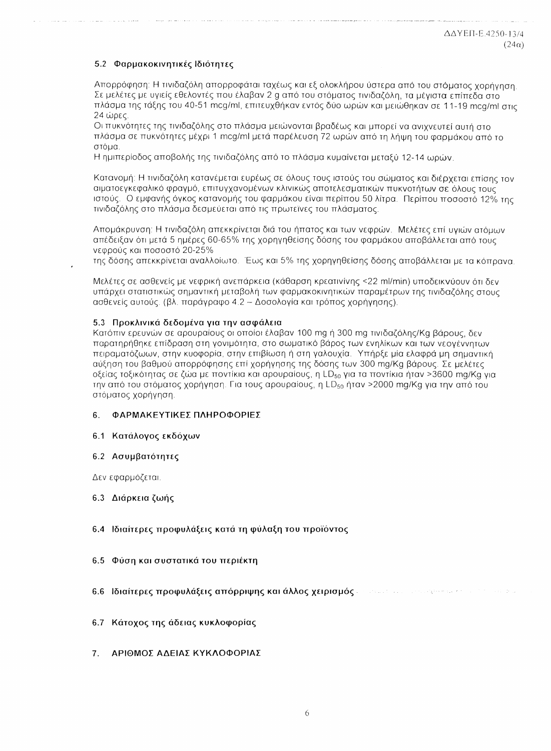### 5.2 Φαρμακοκινητικές Ιδιότητες

Απορρόφηση: Η τινιδαζόλη απορροφάται ταχέως και εξ ολοκλήρου ύστερα από του στόματος χορήγηση. Σε μελέτες με υγιείς εθελοντές που έλαβαν 2 g από του στόματος τινιδαζόλη, τα μέγιστα επίπεδα στο πλάσμα της τάξης του 40-51 mcg/ml, επιτευχθήκαν εντός δύο ωρών και μειώθηκαν σε 11-19 mcg/ml στις  $24 \text{ where}$ 

Οι πυκνότητες της τινιδαζόλης στο πλάσμα μειώνονται βραδέως και μπορεί να ανιχνευτεί αυτή στο πλάσμα σε πυκνότητες μέχρι 1 mcg/ml μετά παρέλευση 72 ωρών από τη λήψη του φαρμάκου από το στόμα.

Η ημιπερίοδος αποβολής της τινιδαζόλης από το πλάσμα κυμαίνεται μεταξύ 12-14 ωρών.

Κατανομή: Η τινιδαζόλη κατανέμεται ευρέως σε όλους τους ιστούς του σώματος και διέρχεται επίσης τον αιματοεγκεφαλικό φραγμό, επιτυγχανομένων κλινικώς αποτελεσματικών πυκνοτήτων σε όλους τους ιστούς. Ο εμφανής όγκος κατανομής του φαρμάκου είναι περίπου 50 λίτρα. Περίπου ποσοστό 12% της τινιδαζόλης στο πλάσμα δεσμεύεται από τις πρωτεϊνες του πλάσματος.

Απομάκρυνση: Η τινιδαζόλη απεκκρίνεται διά του ήπατος και των νεφρών. Μελέτες επί υγιών ατόμων απέδειξαν ότι μετά 5 ημέρες 60-65% της χορηγηθείσης δόσης του φαρμάκου αποβάλλεται από τους νεφρούς και ποσοστό 20-25%

της δόσης απεκκρίνεται αναλλοίωτο. Έως και 5% της χορηγηθείσης δόσης αποβάλλεται με τα κόπρανα.

Μελέτες σε ασθενείς με νεφρική ανεπάρκεια (κάθαρση κρεατινίνης <22 ml/min) υποδεικνύουν ότι δεν υπάρχει στατιστικώς σημαντική μεταβολή των φαρμακοκινητικών παραμέτρων της τινιδαζόλης στους ασθενείς αυτούς. (βλ. παράγραφο 4.2 – Δοσολογία και τρόπος χορήγησης).

#### 5.3 Προκλινικά δεδομένα για την ασφάλεια

Κατόπιν ερευνών σε αρουραίους οι οποίοι έλαβαν 100 mg ή 300 mg τινιδαζόλης/Κα βάρους, δεν παρατηρήθηκε επίδραση στη γονιμότητα, στο σωματικό βάρος των ενηλίκων και των νεογέννητων πειραματόζωων, στην κυοφορία, στην επιβίωση ή στη γαλουχία. Υπήρξε μία ελαφρά μη σημαντική αύξηση του βαθμού απορρόφησης επί χορήγησης της δόσης των 300 mg/Kg βάρους. Σε μελέτες οξείας τοξικότητας σε ζώα με ποντίκια και αρουραίους, η LD<sub>50</sub> για τα ποντίκια ήταν >3600 mg/Kg για την από του στόματος χορήγηση. Για τους αρουραίους, η LD<sub>50</sub> ήταν >2000 mg/Kg για την από του στόματος χορήγηση.

#### ΦΑΡΜΑΚΕΥΤΙΚΕΣ ΠΛΗΡΟΦΟΡΙΕΣ 6.

#### 6.1 Κατάλογος εκδόχων

#### 6.2 Ασυμβατότητες

Δεν εφαρμόζεται.

#### 6.3 Διάρκεια ζωής

#### 6.4 Ιδιαίτερες προφυλάξεις κατά τη φύλαξη του προϊόντος

#### $6.5$ Φύση και συστατικά του περιέκτη

- 6.6 Ιδιαίτερες προφυλάξεις απόρριψης και άλλος χειρισμός  $\sim$  10 km s for a given by a second parameter of  $\sim$
- Κάτοχος της άδειας κυκλοφορίας  $6.7$
- ΑΡΙΘΜΟΣ ΑΔΕΙΑΣ ΚΥΚΛΟΦΟΡΙΑΣ 7.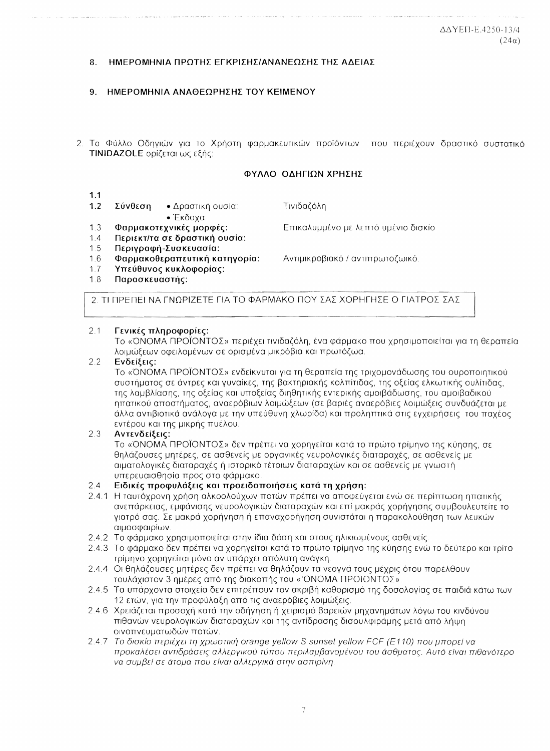#### ΗΜΕΡΟΜΗΝΙΑ ΠΡΟΤΗΣ ΕΓΚΡΙΣΗΣ/ΑΝΑΝΕΩΣΗΣ ΤΗΣ ΑΔΕΙΑΣ  $\mathbf{R}$

- $\mathbf{Q}$ ΗΜΕΡΟΜΗΝΙΑ ΑΝΑΘΕΩΡΗΣΗΣ ΤΟΥ ΚΕΙΜΕΝΟΥ
- 2. Το Φύλλο Οδηγιών για το Χρήστη φαρμακευτικών προϊόντων που περιέχουν δραστικό συστατικό **TINIDAZOLE** ορίζεται ως εξής:

#### ΦΥΛΛΟ ΟΛΗΓΙΟΝ ΧΡΗΣΗΣ

- $1.1$
- $1.2$ Σύνθεση • Δραστική ουσία:
	- Έκδοχα:
- Τινιδαζόλη

Επικαλυμμένο με λεπτό υμένιο δισκίο

Αντιμικροβιακό / αντιπρωτοζωικό.

- Φαρμακοτεχνικές μορφές:  $1.3$ Περιεκτ/τα σε δραστική ουσία:  $1.4$
- $1.5$ Περινραφή-Συσκευασία:
- 
- $16$ Φαρμακοθεραπευτική κατηγορία:
- Υπεύθυνος κυκλοφορίας:  $17$
- $18$ Παρασκευαστής:

2. ΤΙ ΠΡΕΠΕΙ ΝΑ ΓΝΟΡΙΖΕΤΕ ΓΙΑ ΤΟ ΦΑΡΜΑΚΟ ΠΟΥ ΣΑΣ ΧΟΡΗΓΗΣΕ Ο ΓΙΑΤΡΟΣ ΣΑΣ

#### $2.1$ Γενικές πληροφορίες:

Το «ΌΝΟΜΑ ΠΡΟΪΟΝΤΟΣ» περιέχει τινιδαζόλη, ένα φάρμακο που χρησιμοποιείται για τη θεραπεία λοιμώξεων οφειλομένων σε ορισμένα μικρόβια και πρωτόζωα.

#### $22$ Ενδείξεις:

Το «ΌΝΟΜΑ ΠΡΟΪΟΝΤΟΣ» ενδείκνυται για τη θεραπεία της τριχομονάδωσης του ουροποιητικού συστήματος σε άντρες και γυναίκες, της βακτηριακής κολπίτιδας, της οξείας ελκωτικής ουλίτιδας, της λαμβλίασης, της οξείας και υποξείας διηθητικής εντερικής αμοιβάδωσης, του αμοιβαδικού ηπατικού αποστήματος, αναερόβιων λοιμώξεων (σε βαριές αναερόβιες λοιμώξεις συνδυάζεται με άλλα αντιβιοτικά ανάλονα με την υπεύθυνη χλωρίδα) και προληπτικά στις ενχειρήσεις του παχέος εντέρου και της μικρής πυέλου.

#### $2.3$ Αντενδείξεις:

Το «ΌΝΟΜΑ ΠΡΟΪΟΝΤΟΣ» δεν πρέπει να χορηγείται κατά το πρώτο τρίμηνο της κύησης, σε θηλάζουσες μητέρες, σε ασθενείς με οργανικές νευρολογικές διαταραχές, σε ασθενείς με αιματολογικές διαταραχές ή ιστορικό τέτοιων διαταραχών και σε ασθενείς με γνωστή υπερευαισθησία προς στο φάρμακο.

#### $2.4$ Ειδικές προφυλάξεις και προειδοποιήσεις κατά τη χρήση:

- 2.4.1 Η ταυτόχρονη χρήση αλκοολούχων ποτών πρέπει να αποφεύγεται ενώ σε περίπτωση ηπατικής ανεπάρκειας, εμφάνισης νευρολογικών διαταραχών και επί μακράς χορήνησης συμβουλευτείτε το νιατρό σας. Σε μακρά χορήνηση ή επαναχορήνηση συνιστάται η παρακολούθηση των λευκών αιμοσφαιρίων.
- 2.4.2 Το φάρμακο χρησιμοποιείται στην ίδια δόση και στους ηλικιωμένους ασθενείς.
- 2.4.3 Το φάρμακο δεν πρέπει να χορηγείται κατά το πρώτο τρίμηνο της κύησης ενώ το δεύτερο και τρίτο τρίμηνο χορηγείται μόνο αν υπάρχει απόλυτη ανάγκη.
- 2.4.4 Οι θηλάζουσες μητέρες δεν πρέπει να θηλάζουν τα νεογνά τους μέχρις ότου παρέλθουν τουλάχιστον 3 ημέρες από της διακοπής του «'ΟΝΟΜΑ ΠΡΟΪΟΝΤΟΣ».
- 2.4.5 Τα υπάρχοντα στοιχεία δεν επιτρέπουν τον ακριβή καθορισμό της δοσολογίας σε παιδιά κάτω των 12 ετών, για την προφύλαξη από τις αναερόβιες λοιμώξεις.
- 2.4.6 Χρειάζεται προσοχή κατά την οδήγηση ή χειρισμό βαρειών μηχανημάτων λόγω του κινδύνου πιθανών νευρολογικών διαταραχών και της αντίδρασης δισουλφιράμης μετά από λήψη οινοπνευματωδών ποτών.
- 2.4.7 To δισκίο περιέχει τη χρωστική orange yellow S sunset yellow FCF (E110) που μπορεί να προκαλέσει αντιδράσεις αλλεργικού τύπου περιλαμβανομένου του άσθματος. Αυτό είναι πιθανότερο να συμβεί σε άτομα που είναι αλλεργικά στην ασπιρίνη.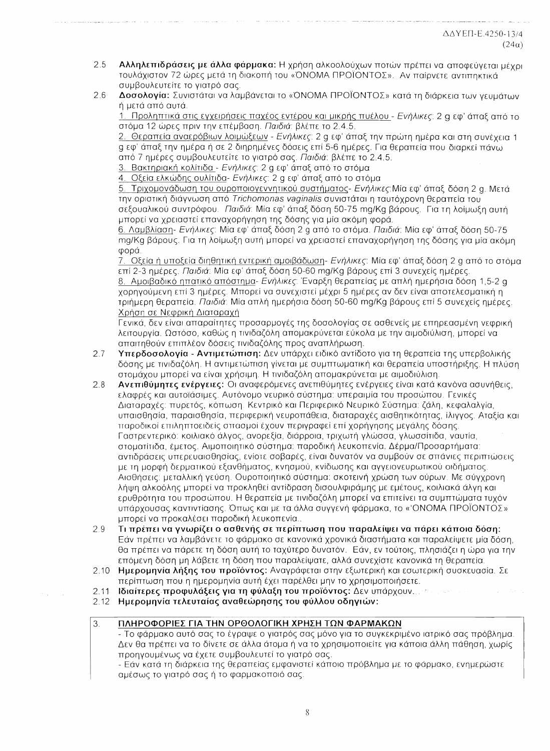- 2.5 Αλληλεπιδράσεις με άλλα φάρμακα: Η χρήση αλκοολούχων ποτών πρέπει να αποφεύνεται μέχρι τουλάχιστον 72 ώρες μετά τη διακοπή του «ΌΝΟΜΑ ΠΡΟΪΟΝΤΟΣ». Αν παίρνετε αντιπηκτικά συμβουλευτείτε το γιατρό σας.
- 2.6 Δοσολογία: Συνιστάται να λαμβάνεται το «ΌΝΟΜΑ ΠΡΟΪΟΝΤΟΣ» κατά τη διάρκεια των γευμάτων ή μετά από αυτά.

1. Προληπτικά στις εγχειρήσεις παχέος εντέρου και μικρής πυέλου - Ενήλικες: 2 q εφ' άπαξ από το στόμα 12 ώρες πριν την επέμβαση. Παιδιά: βλέπε το 2.4.5.

2. Θεραπεία αναερόβιων λοιμώξεων - Ενήλικες: 2 g εφ' άπαξ την πρώτη ημέρα και στη συνέχεια 1 σεφ' άπαξ την ημέρα ή σε 2 διηρημένες δόσεις επί 5-6 ημέρες. Για θεραπεία που διαρκεί πάνω από 7 ημέρες συμβουλευτείτε το γιατρό σας. Παιδιά: βλέπε το 2.4.5.

3. Βακτηριακή κολίτιδα - Ενήλικες: 2 α εφ' άπαξ από το στόμα

4. Οξεία ελκώδης ουλίτιδα- Ενήλικες: 2 α εφ' άπαξ από το στόμα

5. Τριχομονάδωση του ουροποιογεννητικού συστήματος- Ενήλικες: Μία εφ' άπαξ δόση 2 g. Μετά την οριστική διάγνωση από Trichomonas vaginalis συνιστάται η ταυτόχρονη θεραπεία του σεξουαλικού συντρόφου. Παιδιά: Μία εφ' άπαξ δόση 50-75 mg/Kg βάρους. Για τη λοίμωξη αυτή μπορεί να χρειαστεί επαναχορήγηση της δόσης για μία ακόμη φορά.

6. Λαμβλίαση- Ενήλικες: Μία εφ' άπαξ δόση 2 g από το στόμα. Παιδιά: Μία εφ' άπαξ δόση 50-75 mg/Kg βάρους. Για τη λοίμωξη αυτή μπορεί να χρειαστεί επαναχορήγηση της δόσης για μία ακόμη φορά.

7. Οξεία ή υποξεία διηθητική εντερική αμοιβάδωση- Ενήλικες: Μία εφ' άπαξ δόση 2 α από το στόμα επί 2-3 ημέρες, *Παιδιά*: Μία εφ' άπαξ δόση 50-60 ma/Kg βάρους επί 3 συνεχείς ημέρες.

8. Αμοιβαδικό ηπατικό απόστημα- Ενήλικες: Έναρξη θεραπείας με απλή ημερήσια δόση 1,5-2 g χορηγούμενη επί 3 ημέρες. Μπορεί να συνεχιστεί μέχρι 5 ημέρες αν δεν είναι αποτελεσματική η τριήμερη θεραπεία. Παιδιά: Μία απλή ημερήσια δόση 50-60 mg/Kg βάρους επί 5 συνεχείς ημέρες. Χρήση σε Νεφρική Διαταραχή

Γενικά, δεν είναι απαραίτητες προσαρμογές της δοσολογίας σε ασθενείς με επηρεασμένη νεφρική λειτουργία. Ωστόσο, καθώς η τινιδαζόλη απομακρύνεται εύκολα με την αιμοδιύλιση, μπορεί να απαιτηθούν επιπλέον δόσεις τινιδαζόλης προς αναπλήρωση.

- 2.7 Υπερδοσολογία - Αντιμετώπιση: Δεν υπάρχει ειδικό αντίδοτο για τη θεραπεία της υπερβολικής δόσης με τινιδαζόλη. Η αντιμετώπιση γίνεται με συμπτωματική και θεραπεία υποστήριξης. Η πλύση στομάχου μπορεί να είναι χρήσιμη. Η τινιδαζόλη απομακρύνεται με αιμοδιύλιση.
- $2.8$ Ανεπιθύμητες ενέργειες: Οι αναφερόμενες ανεπιθύμητες ενέργειες είναι κατά κανόνα ασυνήθεις, ελαφρές και αυτοϊάσιμες. Αυτόνομο νευρικό σύστημα: υπεραιμία του προσώπου. Γενικές Διαταραχές: πυρετός, κόπωση. Κεντρικό και Περιφερικό Νευρικό Σύστημα: ζάλη, κεφαλαλγία, υπαισθησία, παραισθησία, περιφερική νευροπάθεια, διαταραχές αισθητικότητας, ίλιγνος. Αταξία και τταροδικοί επιληπτοειδείς σττασμοί έχουν περιγραφεί επί χορήγησης μεγάλης δόσης. Γαστρεντερικό: κοιλιακό άλγος, ανορεξία, διάρροια, τριχωτή γλώσσα, γλωσσίτιδα, ναυτία, στοματίτιδα, έμετος. Αιμοποιητικό σύστημα: παροδική λευκοπενία, Δέρμα/Προσαρτήματα: αντιδράσεις υπερευαισθησίας, ενίοτε σοβαρές, είναι δυνατόν να συμβούν σε σπάνιες περιπτώσεις με τη μορφή δερματικού εξανθήματος, κνησμού, κνίδωσης και αγγειονευρωτικού οιδήματος Αισθήσεις: μεταλλική γεύση. Ουροποιητικό σύστημα: σκοτεινή χρώση των ούρων. Με σύγχρονη λήψη αλκοόλης μπορεί να προκληθεί αντίδραση δισουλφιράμης με εμέτους, κοιλιακά άλγη και ερυθρότητα του προσώπου. Η θεραπεία με τινιδαζόλη μπορεί να επιτείνει τα συμπτώματα τυχόν υπάρχουσας καντιντίασης. Όπως και με τα άλλα συγγενή φάρμακα, το «'ONOMA ΠΡΟΪΟΝΤΟΣ» μπορεί να προκαλέσει παροδική λευκοπενία..
- 2.9 Τι πρέπει να γνωρίζει ο ασθενής σε περίπτωση που παραλείψει να πάρει κάποια δόση; Εάν πρέπει να λαμβάνετε το φάρμακο σε κανονικά χρονικά διαστήματα και παραλείψετε μία δόση, θα πρέπει να πάρετε τη δόση αυτή το ταχύτερο δυνατόν. Εάν, εν τούτοις, πλησιάζει η ώρα για την επόμενη δόση μη λάβετε τη δόση που παραλείψατε, αλλά συνεχίστε κανονικά τη θεραπεία.
- Ημερομηνία λήξης του προϊόντος: Αναγράφεται στην εξωτερική και εσωτερική συσκευασία. Σε  $2.10$ περίπτωση που η ημερομηνία αυτή έχει παρέλθει μην το χρησιμοποιήσετε.
- $2.11$ Ιδιαίτερες προφυλάξεις για τη φύλαξη του προϊόντος: Δεν υπάρχουν....
- $2.12$ Ημερομηνία τελευταίας αναθεώρησης του φύλλου οδηγιών:
- ΠΛΗΡΟΦΟΡΙΕΣ ΓΙΑ ΤΗΝ ΟΡΘΟΛΟΓΙΚΗ ΧΡΗΣΗ ΤΩΝ ΦΑΡΜΑΚΩΝ  $\mathfrak{Z}$ .

- Το φάρμακο αυτό σας το έγραψε ο γιατρός σας μόνο για το συγκεκριμένο ιατρικό σας πρόβλημα. Δεν θα πρέπει να το δίνετε σε άλλα άτομα ή να το χρησιμοποιείτε για κάποια άλλη πάθηση, χωρίς προηγουμένως να έχετε συμβουλευτεί το γιατρό σας.

- Εάν κατά τη διάρκεια της θεραπείας εμφανιστεί κάποιο πρόβλημα με το φάρμακο, ενημερώστε αμέσως το γιατρό σας ή το φαρμακοποιό σας.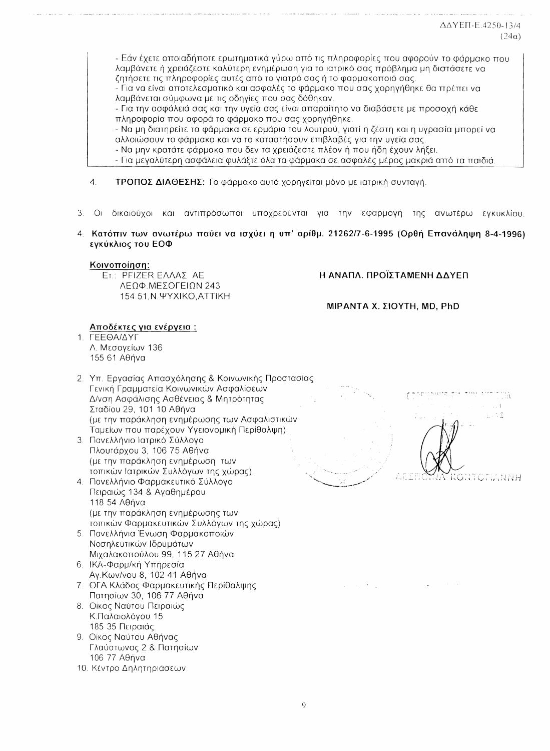- Εάν έχετε οποιαδήποτε ερωτηματικά γύρω από τις πληροφορίες που αφορούν το φάρμακο που λαμβάνετε ή χρειάζεστε καλύτερη ενημέρωση για το ιατρικό σας πρόβλημα μη διστάσετε να ζητήσετε τις πληροφορίες αυτές από το γιατρό σας ή το φαρμακοποιό σας.

- Για να είναι αποτελεσματικό και ασφαλές το φάρμακο που σας χορηγήθηκε θα πρέπει να λαμβάνεται σύμφωνα με τις οδηγίες που σας δόθηκαν.

- Για την ασφάλειά σας και την υγεία σας είναι απαραίτητο να διαβάσετε με προσοχή κάθε πληροφορία που αφορά το φάρμακο που σας χορηγήθηκε.

- Να μη διατηρείτε τα φάρμακα σε ερμάρια του λουτρού, γιατί η ζέστη και η υγρασία μπορεί να αλλοιώσουν το φάρμακο και να το καταστήσουν επιβλαβές για την υγεία σας.

- Να μην κρατάτε φάρμακα που δεν τα χρειάζεστε πλέον ή που ήδη έχουν λήξει.

- Για μεγαλύτερη ασφάλεια φυλάξτε όλα τα φάρμακα σε ασφαλές μέρος μακριά από τα παιδιά.

- $\overline{4}$ ΤΡΟΠΟΣ ΔΙΑΘΕΣΗΣ: Το φάρμακο αυτό χορηγείται μόνο με ιατρική συνταγή.
- 3 Οι δικαιούχοι και αντιπρόσωποι υποχρεούνται για την εφαρμογή της ανωτέρω ενκυκλίου
- 4. Κατόπιν των ανωτέρω παύει να ισχύει η υπ' αρίθμ. 21262/7-6-1995 (Ορθή Επανάληψη 8-4-1996) εγκύκλιος του ΕΟΦ

### Κοινοποίηση:

ET.: PFIZER EAAAZ AE ΛΕΩΦ.ΜΕΣΟΓΕΙΩΝ 243 154 51 N. YYXIKO, ATTIKH Η ΑΝΑΠΛ. ΠΡΟΪΣΤΑΜΕΝΗ ΔΔΥΕΠ

ΜΙΡΑΝΤΑ Χ. ΣΙΟΥΤΗ, ΜD, PhD

## Αποδέκτες για ενέργεια :

1. **ΓΕΕΘΑΙΔΥΓ** Λ. Μεσογείων 136 155 61 Αθήνα

- 2. Υπ. Εργασίας Απασχόλησης & Κοινωνικής Προστασίας Γενική Γραμματεία Κοινωνικών Ασφαλίσεων Δ/νση Ασφάλισης Ασθένειας & Μητρότητας Σταδίου 29, 101 10 Αθήνα (με την παράκληση ενημέρωσης των Ασφαλιστικών Ταμείων που παρέχουν Υγειονομική Περίθαλψη) 3. Πανελλήνιο Ιατρικό Σύλλογο Πλουτάρχου 3, 106 75 Αθήνα
- (με την παράκληση ενημέρωση των τοπικών Ιατρικών Συλλόγων της χώρας). 4. Πανελλήνιο Φαρμακευτικό Σύλλογο
- Πειραιώς 134 & Αγαθημέρου 118 54 Αθήνα (με την παράκληση ενημέρωσης των τοπικών Φαρμακευτικών Συλλόγων της χώρας)
- 5. Πανελλήνια Ένωση Φαρμακοποιών Νοσηλευτικών Ιδρυμάτων Μιχαλακοπούλου 99, 115 27 Αθήνα
- 6. ΙΚΑ-Φαρμ/κή Υπηρεσία Αγ. Κων/νου 8, 102 41 Αθήνα
- 7. ΟΓΑ Κλάδος Φαρμακευτικής Περίθαλψης Πατησίων 30, 106 77 Αθήνα
- 8. Οίκος Ναύτου Πειραιώς Κ.Παλαιολόγου 15 185 35 Πειραιάς
- 9. Οίκος Ναύτου Αθήνας Γλαύστωνος 2 & Πατησίων 106 77 Αθήνα
- 10. Κέντρο Δηλητηριάσεων



 $\Delta \sim 10^{11}$  km s  $^{-1}$